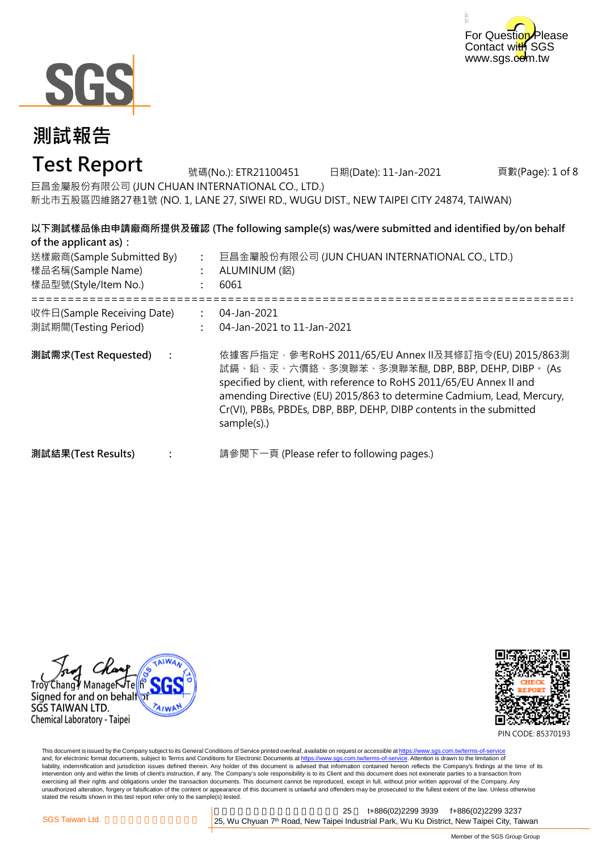



## **Test Report**

頁數(Page): 1 of 8 號碼(No.): ETR21100451 日期(Date): 11-Jan-2021 巨昌金屬股份有限公司 (JUN CHUAN INTERNATIONAL CO., LTD.) 新北市五股區四維路27巷1號 (NO. 1, LANE 27, SIWEI RD., WUGU DIST., NEW TAIPEI CITY 24874, TAIWAN)

**以下測試樣品係由申請廠商所提供及確認 (The following sample(s) was/were submitted and identified by/on behalf of the applicant as):**

| 送樣廠商(Sample Submitted By)<br>樣品名稱(Sample Name)<br>樣品型號(Style/Item No.) | $\ddot{\phantom{a}}$<br>$\mathbb{R}^{\mathbb{Z}}$ | 巨昌金屬股份有限公司 (JUN CHUAN INTERNATIONAL CO., LTD.)<br>ALUMINUM (鋁)<br>6061                                                                                                                                                                                                                                                                         |
|------------------------------------------------------------------------|---------------------------------------------------|------------------------------------------------------------------------------------------------------------------------------------------------------------------------------------------------------------------------------------------------------------------------------------------------------------------------------------------------|
| 收件日(Sample Receiving Date)<br>測試期間(Testing Period)                     |                                                   | 04-Jan-2021<br>04-Jan-2021 to 11-Jan-2021                                                                                                                                                                                                                                                                                                      |
| 測試需求(Test Requested)<br>$\ddot{\cdot}$                                 |                                                   | 依據客戶指定‧參考RoHS 2011/65/EU Annex Ⅱ及其修訂指令(EU) 2015/863測<br>試鎘、鉛、汞、六價鉻、多溴聯苯、多溴聯苯醚, DBP, BBP, DEHP, DIBP。 (As<br>specified by client, with reference to RoHS 2011/65/EU Annex II and<br>amending Directive (EU) 2015/863 to determine Cadmium, Lead, Mercury,<br>Cr(VI), PBBs, PBDEs, DBP, BBP, DEHP, DIBP contents in the submitted<br>sample(s).) |
| 測試結果(Test Results)                                                     |                                                   | 請參閱下一頁 (Please refer to following pages.)                                                                                                                                                                                                                                                                                                      |





PIN CODE: 85370193

This document is issued by the Company subject to its General Conditions of Service printed overleaf, available on request or accessible at <u>https://www.sgs.com.tw/terms-of-service</u><br>and, for electronic format documents, su liability, indemnification and jurisdiction issues defined therein. Any holder of this document is advised that information contained hereon reflects the Company's findings at the time of its intervention only and within the limits of client's instruction, if any. The Company's sole responsibility is to its Client and this document does not exonerate parties to a transaction from exercising all their rights and obligations under the transaction documents. This document cannot be reproduced, except in full, without prior written approval of the Company. Any<br>unauthorized alteration, forgery or falsif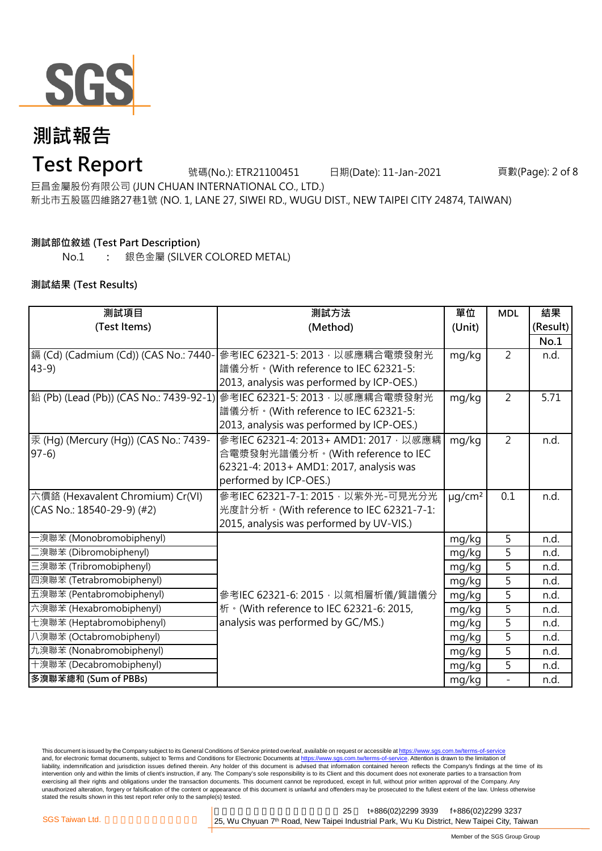

## **Test Report**

號碼(No.): ETR21100451 日期(Date): 11-Jan-2021 頁數(Page): 2 of 8

巨昌金屬股份有限公司 (JUN CHUAN INTERNATIONAL CO., LTD.)

新北市五股區四維路27巷1號 (NO. 1, LANE 27, SIWEI RD., WUGU DIST., NEW TAIPEI CITY 24874, TAIWAN)

### **測試部位敘述 (Test Part Description)**

No.1 **:** 銀色金屬 (SILVER COLORED METAL)

### **測試結果 (Test Results)**

| 測試項目                                  | 測試方法                                                                      | 單位                      | <b>MDL</b>               | 結果       |
|---------------------------------------|---------------------------------------------------------------------------|-------------------------|--------------------------|----------|
| (Test Items)                          | (Method)                                                                  | (Unit)                  |                          | (Result) |
|                                       |                                                                           |                         |                          | No.1     |
| 鎘 (Cd) (Cadmium (Cd)) (CAS No.: 7440- | 參考IEC 62321-5: 2013, 以感應耦合電漿發射光                                           | mg/kg                   | 2                        | n.d.     |
| $43-9$                                | 譜儀分析。(With reference to IEC 62321-5:                                      |                         |                          |          |
|                                       | 2013, analysis was performed by ICP-OES.)                                 |                         |                          |          |
|                                       | │鉛 (Pb) (Lead (Pb)) (CAS No.: 7439-92-1)│參考IEC 62321-5: 2013 · 以感應耦合電漿發射光 | mg/kg                   | $\overline{2}$           | 5.71     |
|                                       | 譜儀分析。(With reference to IEC 62321-5:                                      |                         |                          |          |
|                                       | 2013, analysis was performed by ICP-OES.)                                 |                         |                          |          |
| 汞 (Hg) (Mercury (Hg)) (CAS No.: 7439- | 參考IEC 62321-4: 2013+ AMD1: 2017, 以感應耦                                     | mg/kg                   | $\overline{2}$           | n.d.     |
| $97-6$                                | 合電漿發射光譜儀分析。(With reference to IEC                                         |                         |                          |          |
|                                       | 62321-4: 2013+ AMD1: 2017, analysis was                                   |                         |                          |          |
|                                       | performed by ICP-OES.)                                                    |                         |                          |          |
| 六價鉻 (Hexavalent Chromium) Cr(VI)      | 參考IEC 62321-7-1: 2015, 以紫外光-可見光分光                                         | $\mu$ g/cm <sup>2</sup> | 0.1                      | n.d.     |
| (CAS No.: 18540-29-9) (#2)            | 光度計分析。(With reference to IEC 62321-7-1:                                   |                         |                          |          |
|                                       | 2015, analysis was performed by UV-VIS.)                                  |                         |                          |          |
| 一溴聯苯 (Monobromobiphenyl)              |                                                                           | mg/kg                   | 5                        | n.d.     |
| 二溴聯苯 (Dibromobiphenyl)                |                                                                           | mg/kg                   | 5                        | n.d.     |
| 三溴聯苯 (Tribromobiphenyl)               |                                                                           | mg/kg                   | 5                        | n.d.     |
| 四溴聯苯 (Tetrabromobiphenyl)             |                                                                           | mg/kg                   | 5                        | n.d.     |
| 五溴聯苯 (Pentabromobiphenyl)             | 參考IEC 62321-6: 2015, 以氣相層析儀/質譜儀分                                          | mg/kg                   | 5                        | n.d.     |
| 六溴聯苯 (Hexabromobiphenyl)              | 析 · (With reference to IEC 62321-6: 2015,                                 | mg/kg                   | 5                        | n.d.     |
| 七溴聯苯 (Heptabromobiphenyl)             | analysis was performed by GC/MS.)                                         | mg/kg                   | 5                        | n.d.     |
| 八溴聯苯 (Octabromobiphenyl)              |                                                                           | mg/kg                   | 5                        | n.d.     |
| 九溴聯苯 (Nonabromobiphenyl)              |                                                                           | mg/kg                   | $\overline{5}$           | n.d.     |
| 十溴聯苯 (Decabromobiphenyl)              |                                                                           | mg/kg                   | 5                        | n.d.     |
| 多溴聯苯總和 (Sum of PBBs)                  |                                                                           | mg/kg                   | $\overline{\phantom{a}}$ | n.d.     |

This document is issued by the Company subject to its General Conditions of Service printed overleaf, available on request or accessible at https://www.sgs.com.tw/terms-of-service and, for electronic format documents, subject to Terms and Conditions for Electronic Documents at https://www.sgs.com.tw/terms-of-service. Attention is drawn to the limitation of liability, indemnification and jurisdiction issues defined therein. Any holder of this document is advised that information contained hereon reflects the Company's findings at the time of its intervention only and within the limits of client's instruction, if any. The Company's sole responsibility is to its Client and this document does not exonerate parties to a transaction from exercising all their rights and obligations under the transaction documents. This document cannot be reproduced, except in full, without prior written approval of the Company. Any<br>unauthorized alteration, forgery or falsif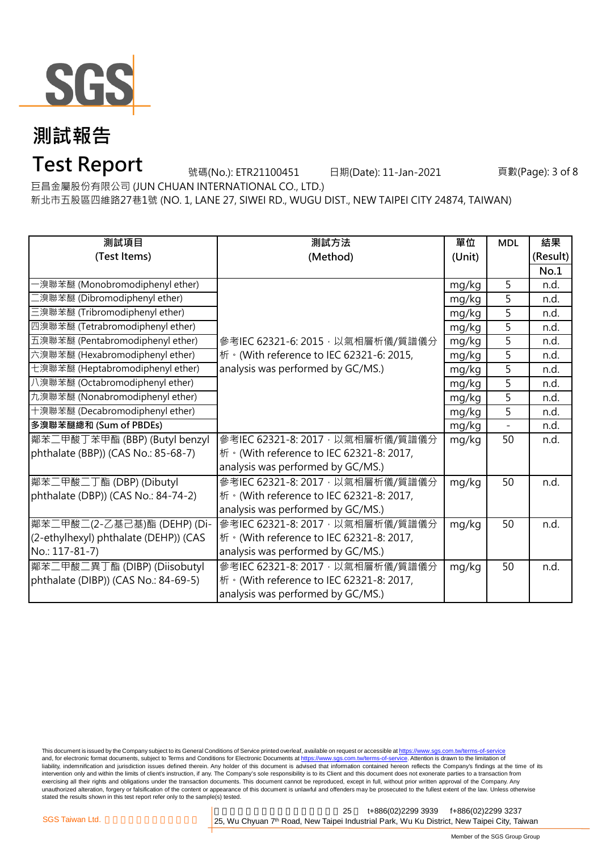

# **Test Report**

號碼(No.): ETR21100451 日期(Date): 11-Jan-2021 頁數(Page): 3 of 8

巨昌金屬股份有限公司 (JUN CHUAN INTERNATIONAL CO., LTD.)

新北市五股區四維路27巷1號 (NO. 1, LANE 27, SIWEI RD., WUGU DIST., NEW TAIPEI CITY 24874, TAIWAN)

| 測試項目                                  | 測試方法                                                                                  | 單位     | <b>MDL</b> | 結果       |
|---------------------------------------|---------------------------------------------------------------------------------------|--------|------------|----------|
| (Test Items)                          | (Method)                                                                              | (Unit) |            | (Result) |
|                                       |                                                                                       |        |            | No.1     |
| -溴聯苯醚 (Monobromodiphenyl ether)       |                                                                                       | mg/kg  | 5          | n.d.     |
| 二溴聯苯醚 (Dibromodiphenyl ether)         |                                                                                       | mg/kg  | 5          | n.d.     |
| 三溴聯苯醚 (Tribromodiphenyl ether)        |                                                                                       | mg/kg  | 5          | n.d.     |
| 四溴聯苯醚 (Tetrabromodiphenyl ether)      |                                                                                       | mg/kg  | 5          | n.d.     |
| 五溴聯苯醚 (Pentabromodiphenyl ether)      | 參考IEC 62321-6: 2015, 以氣相層析儀/質譜儀分                                                      | mg/kg  | 5          | n.d.     |
| 六溴聯苯醚 (Hexabromodiphenyl ether)       | 析 · (With reference to IEC 62321-6: 2015,                                             | mg/kg  | 5          | n.d.     |
| 七溴聯苯醚 (Heptabromodiphenyl ether)      | analysis was performed by GC/MS.)                                                     | mg/kg  | 5          | n.d.     |
| 八溴聯苯醚 (Octabromodiphenyl ether)       |                                                                                       | mg/kg  | 5          | n.d.     |
| 九溴聯苯醚 (Nonabromodiphenyl ether)       |                                                                                       | mg/kg  | 5          | n.d.     |
| 十溴聯苯醚 (Decabromodiphenyl ether)       |                                                                                       | mg/kg  | 5          | n.d.     |
| 多溴聯苯醚總和 (Sum of PBDEs)                |                                                                                       | mg/kg  |            | n.d.     |
| <b>鄰苯二甲酸丁苯甲酯 (BBP) (Butyl benzyl</b>  | 參考IEC 62321-8: 2017, 以氣相層析儀/質譜儀分                                                      | mg/kg  | 50         | n.d.     |
| phthalate (BBP)) (CAS No.: 85-68-7)   | 析 · (With reference to IEC 62321-8: 2017,                                             |        |            |          |
|                                       | analysis was performed by GC/MS.)                                                     |        |            |          |
| 鄰苯二甲酸二丁酯 (DBP) (Dibutyl               | 參考IEC 62321-8: 2017, 以氣相層析儀/質譜儀分                                                      | mg/kg  | 50         | n.d.     |
| phthalate (DBP)) (CAS No.: 84-74-2)   | 析 · (With reference to IEC 62321-8: 2017,                                             |        |            |          |
|                                       | analysis was performed by GC/MS.)                                                     |        |            |          |
| 鄰苯二甲酸二(2-乙基己基)酯 (DEHP) (Di-           | 參考IEC 62321-8: 2017, 以氣相層析儀/質譜儀分                                                      | mg/kg  | 50         | n.d.     |
| (2-ethylhexyl) phthalate (DEHP)) (CAS | 桥 · (With reference to IEC 62321-8: 2017,                                             |        |            |          |
| No.: 117-81-7)                        | analysis was performed by GC/MS.)                                                     |        |            |          |
| 鄰苯二甲酸二異丁酯 (DIBP) (Diisobutyl          | 參考IEC 62321-8: 2017, 以氣相層析儀/質譜儀分                                                      | mg/kg  | 50         | n.d.     |
| phthalate (DIBP)) (CAS No.: 84-69-5)  | $\left  \text{#} \cdot \text{(With reference to IEC 62321-8: } 2017, \right. \right $ |        |            |          |
|                                       | analysis was performed by GC/MS.)                                                     |        |            |          |

This document is issued by the Company subject to its General Conditions of Service printed overleaf, available on request or accessible at <u>https://www.sgs.com.tw/terms-of-service</u><br>and, for electronic format documents, su liability, indemnification and jurisdiction issues defined therein. Any holder of this document is advised that information contained hereon reflects the Company's findings at the time of its intervention only and within the limits of client's instruction, if any. The Company's sole responsibility is to its Client and this document does not exonerate parties to a transaction from exercising all their rights and obligations under the transaction documents. This document cannot be reproduced, except in full, without prior written approval of the Company. Any<br>unauthorized alteration, forgery or falsif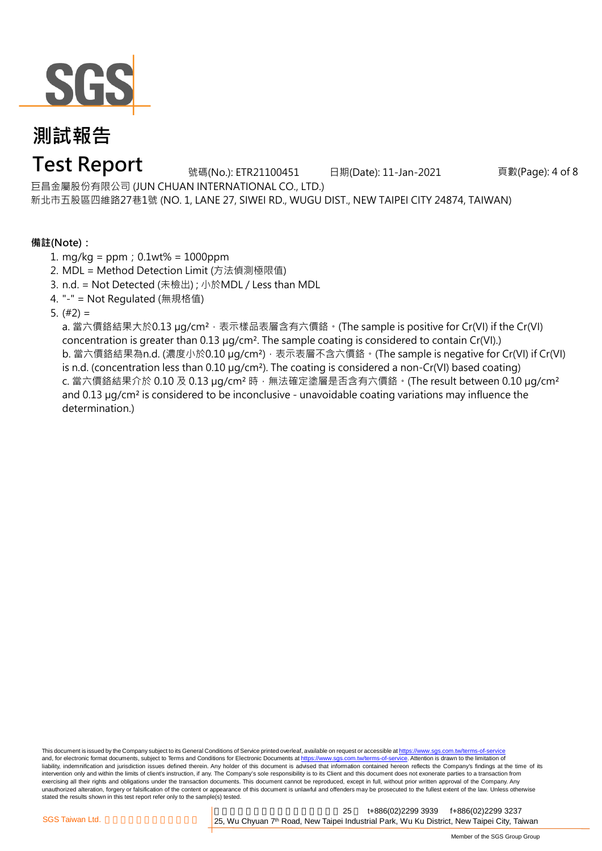

## **Test Report**

號碼(No.): ETR21100451 日期(Date): 11-Jan-2021 頁數(Page): 4 of 8

巨昌金屬股份有限公司 (JUN CHUAN INTERNATIONAL CO., LTD.) 新北市五股區四維路27巷1號 (NO. 1, LANE 27, SIWEI RD., WUGU DIST., NEW TAIPEI CITY 24874, TAIWAN)

**備註(Note):**

- 1. mg/kg = ppm;0.1wt% = 1000ppm
- 2. MDL = Method Detection Limit (方法偵測極限值)
- 3. n.d. = Not Detected (未檢出) ; 小於MDL / Less than MDL
- 4. "-" = Not Regulated (無規格值)

5.  $(#2) =$ 

a. 當六價鉻結果大於0.13 μg/cm<sup>2</sup>,表示樣品表層含有六價鉻。(The sample is positive for Cr(VI) if the Cr(VI) concentration is greater than 0.13 µg/cm<sup>2</sup>. The sample coating is considered to contain Cr(VI).) b. 當六價鉻結果為n.d. (濃度小於0.10 μg/cm<sup>2</sup>), 表示表層不含六價鉻。(The sample is negative for Cr(VI) if Cr(VI) is n.d. (concentration less than 0.10 µg/cm²). The coating is considered a non-Cr(VI) based coating) c. 當六價鉻結果介於 0.10 及 0.13  $\mu$ g/cm<sup>2</sup> 時,無法確定塗層是否含有六價鉻。(The result between 0.10  $\mu$ g/cm<sup>2</sup> and 0.13  $\mu q/cm^2$  is considered to be inconclusive - unavoidable coating variations may influence the determination.)

This document is issued by the Company subject to its General Conditions of Service printed overleaf, available on request or accessible at https://www.sgs.com.tw/terms-of-service and, for electronic format documents, subject to Terms and Conditions for Electronic Documents at https://www.sgs.com.tw/terms-of-service. Attention is drawn to the limitation of liability, indemnification and jurisdiction issues defined therein. Any holder of this document is advised that information contained hereon reflects the Company's findings at the time of its intervention only and within the limits of client's instruction, if any. The Company's sole responsibility is to its Client and this document does not exonerate parties to a transaction from exercising all their rights and obligations under the transaction documents. This document cannot be reproduced, except in full, without prior written approval of the Company. Any unauthorized alteration, forgery or falsification of the content or appearance of this document is unlawful and offenders may be prosecuted to the fullest extent of the law. Unless otherwise stated the results shown in this test report refer only to the sample(s) tested.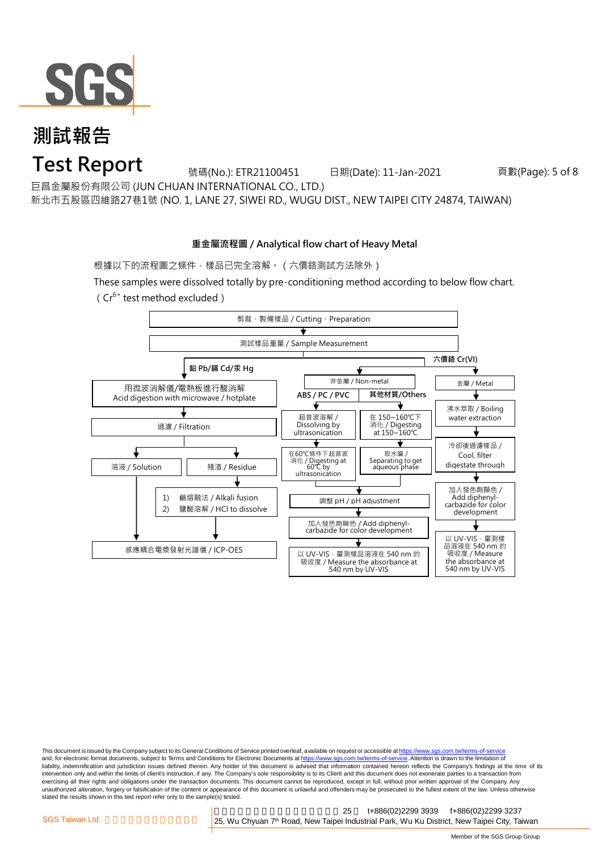

### **Test Report**

號碼(No.): ETR21100451 日期(Date): 11-Jan-2021 頁數(Page): 5 of 8

巨昌金屬股份有限公司 (JUN CHUAN INTERNATIONAL CO., LTD.)

新北市五股區四維路27巷1號 (NO. 1, LANE 27, SIWEI RD., WUGU DIST., NEW TAIPEI CITY 24874, TAIWAN)

### **重金屬流程圖 / Analytical flow chart of Heavy Metal**

根據以下的流程圖之條件,樣品已完全溶解。(六價鉻測試方法除外)

These samples were dissolved totally by pre-conditioning method according to below flow chart.  $(Cr^{6+}$  test method excluded)



This document is issued by the Company subject to its General Conditions of Service printed overleaf, available on request or accessible at https://www.sgs.com.tw/terms-of-service and, for electronic format documents, subject to Terms and Conditions for Electronic Documents at https://www.sgs.com.tw/terms-of-service. Attention is drawn to the limitation of liability, indemnification and jurisdiction issues defined therein. Any holder of this document is advised that information contained hereon reflects the Company's findings at the time of its intervention only and within the limits of client's instruction, if any. The Company's sole responsibility is to its Client and this document does not exonerate parties to a transaction from exercising all their rights and obligations under the transaction documents. This document cannot be reproduced, except in full, without prior written approval of the Company. Any<br>unauthorized alteration, forgery or falsif stated the results shown in this test report refer only to the sample(s) tested.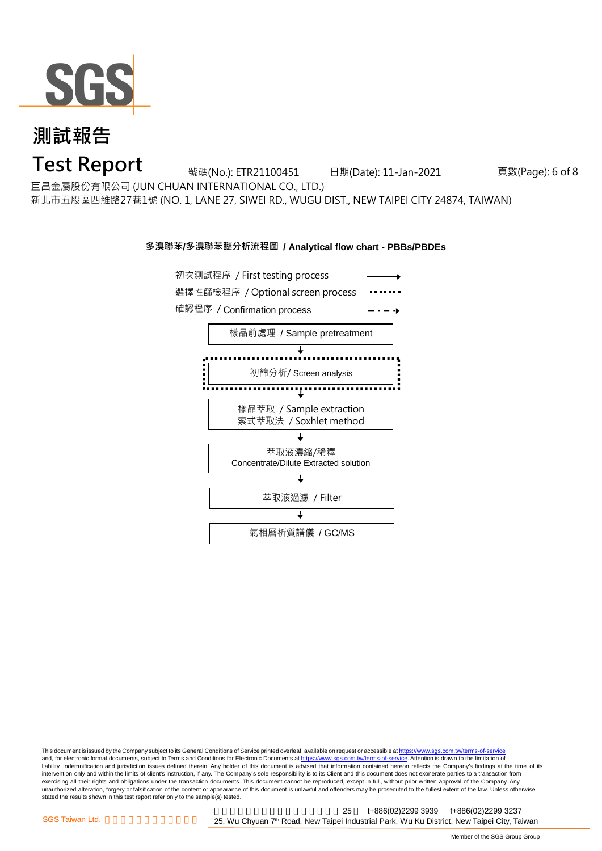

**Test Report**

號碼(No.): ETR21100451 日期(Date): 11-Jan-2021 頁數(Page): 6 of 8

巨昌金屬股份有限公司 (JUN CHUAN INTERNATIONAL CO., LTD.)

新北市五股區四維路27巷1號 (NO. 1, LANE 27, SIWEI RD., WUGU DIST., NEW TAIPEI CITY 24874, TAIWAN)

#### **多溴聯苯/多溴聯苯醚分析流程圖 / Analytical flow chart - PBBs/PBDEs**



This document is issued by the Company subject to its General Conditions of Service printed overleaf, available on request or accessible at https://www.sgs.com.tw/terms-of-service and, for electronic format documents, subject to Terms and Conditions for Electronic Documents at https://www.sgs.com.tw/terms-of-service. Attention is drawn to the limitation of liability, indemnification and jurisdiction issues defined therein. Any holder of this document is advised that information contained hereon reflects the Company's findings at the time of its intervention only and within the limits of client's instruction, if any. The Company's sole responsibility is to its Client and this document does not exonerate parties to a transaction from exercising all their rights and obligations under the transaction documents. This document cannot be reproduced, except in full, without prior written approval of the Company. Any<br>unauthorized alteration, forgery or falsif stated the results shown in this test report refer only to the sample(s) tested.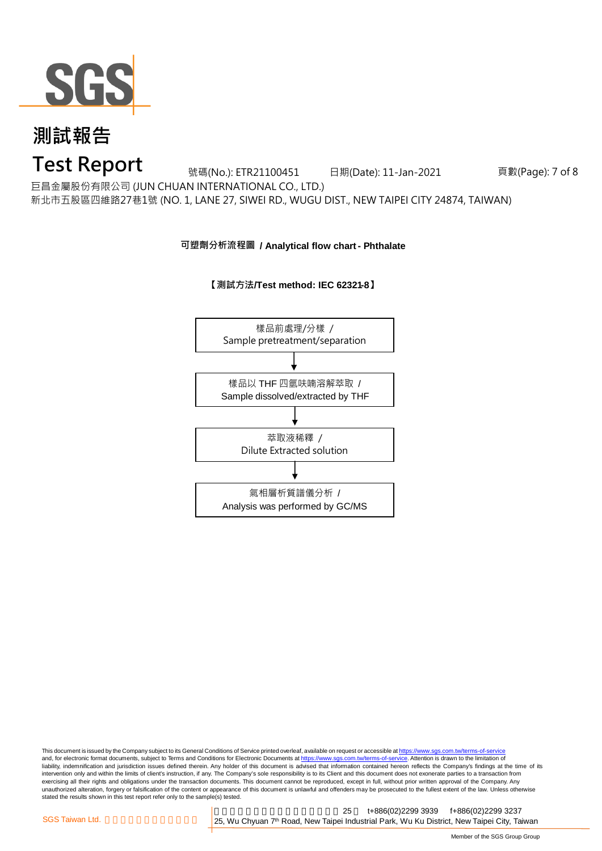

### **Test Report**

號碼(No.): ETR21100451 日期(Date): 11-Jan-2021 頁數(Page): 7 of 8

巨昌金屬股份有限公司 (JUN CHUAN INTERNATIONAL CO., LTD.)

新北市五股區四維路27巷1號 (NO. 1, LANE 27, SIWEI RD., WUGU DIST., NEW TAIPEI CITY 24874, TAIWAN)

**可塑劑分析流程圖 / Analytical flow chart - Phthalate**





This document is issued by the Company subject to its General Conditions of Service printed overleaf, available on request or accessible at https://www.sgs.com.tw/terms-of-service and, for electronic format documents, subject to Terms and Conditions for Electronic Documents at https://www.sgs.com.tw/terms-of-service. Attention is drawn to the limitation of liability, indemnification and jurisdiction issues defined therein. Any holder of this document is advised that information contained hereon reflects the Company's findings at the time of its intervention only and within the limits of client's instruction, if any. The Company's sole responsibility is to its Client and this document does not exonerate parties to a transaction from exercising all their rights and obligations under the transaction documents. This document cannot be reproduced, except in full, without prior written approval of the Company. Any<br>unauthorized alteration, forgery or falsif stated the results shown in this test report refer only to the sample(s) tested.